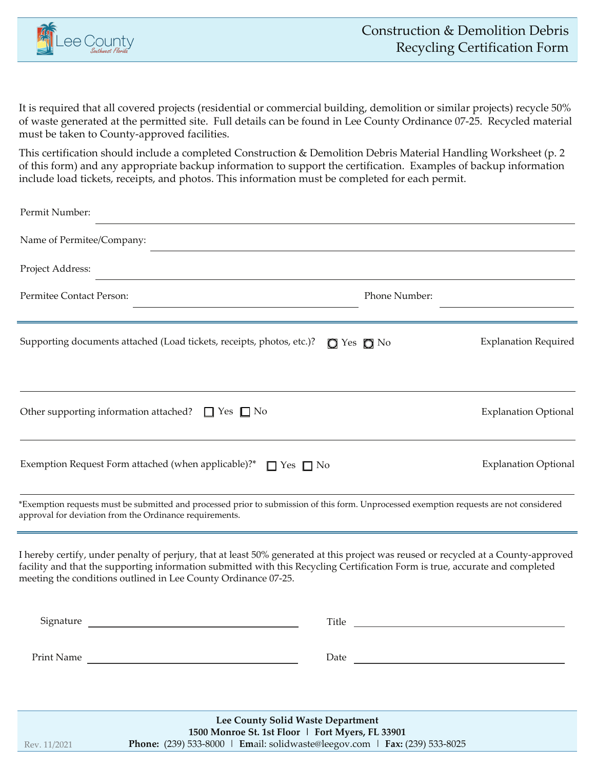

It is required that all covered projects (residential or commercial building, demolition or similar projects) recycle 50% of waste generated at the permitted site. Full details can be found in Lee County Ordinance 07-25. Recycled material must be taken to County-approved facilities.

This certification should include a completed Construction & Demolition Debris Material Handling Worksheet (p. 2 of this form) and any appropriate backup information to support the certification. Examples of backup information include load tickets, receipts, and photos. This information must be completed for each permit.

| Permit Number:                                                                                                                                                                                                                                                                                                                         |                                                                                                                                                                                                                                      |
|----------------------------------------------------------------------------------------------------------------------------------------------------------------------------------------------------------------------------------------------------------------------------------------------------------------------------------------|--------------------------------------------------------------------------------------------------------------------------------------------------------------------------------------------------------------------------------------|
| Name of Permitee/Company:                                                                                                                                                                                                                                                                                                              |                                                                                                                                                                                                                                      |
| Project Address:                                                                                                                                                                                                                                                                                                                       |                                                                                                                                                                                                                                      |
| Permitee Contact Person:                                                                                                                                                                                                                                                                                                               | Phone Number:                                                                                                                                                                                                                        |
| Supporting documents attached (Load tickets, receipts, photos, etc.)?                                                                                                                                                                                                                                                                  | <b>Explanation Required</b><br>$\bigcirc$ Yes $\bigcirc$ No                                                                                                                                                                          |
| Other supporting information attached? $\Box$ Yes $\Box$ No                                                                                                                                                                                                                                                                            | <b>Explanation Optional</b>                                                                                                                                                                                                          |
| Exemption Request Form attached (when applicable)?* $\Box$ Yes $\Box$ No                                                                                                                                                                                                                                                               | <b>Explanation Optional</b>                                                                                                                                                                                                          |
| *Exemption requests must be submitted and processed prior to submission of this form. Unprocessed exemption requests are not considered<br>approval for deviation from the Ordinance requirements.                                                                                                                                     |                                                                                                                                                                                                                                      |
| I hereby certify, under penalty of perjury, that at least 50% generated at this project was reused or recycled at a County-approved<br>facility and that the supporting information submitted with this Recycling Certification Form is true, accurate and completed<br>meeting the conditions outlined in Lee County Ordinance 07-25. |                                                                                                                                                                                                                                      |
|                                                                                                                                                                                                                                                                                                                                        | Title <u>and the series of the series of the series of the series of the series of the series of the series of the series of the series of the series of the series of the series of the series of the series of the series of t</u> |
| Print Name<br>Date                                                                                                                                                                                                                                                                                                                     | <u> 1989 - Johann John Stone, markin fizikar (</u>                                                                                                                                                                                   |